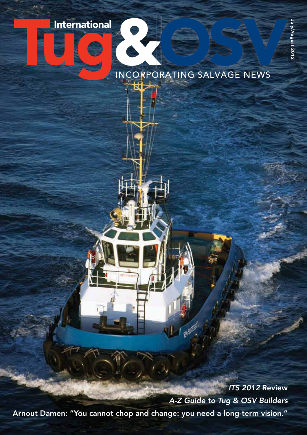## International Company of the Company of the Company of the Company of the Company of the Company of the Company of the Company of the Company of the Company of the Company of the Company of the Company of the Company of th



INCORPORATING SALVAGE NEWS

EPISICESI

ЪU

*ITS 2012* Review Ĝã. *A-Z Guide to Tug & OSV Builders* Arnout Damen: "You cannot chop and change: you need a long-term vision."